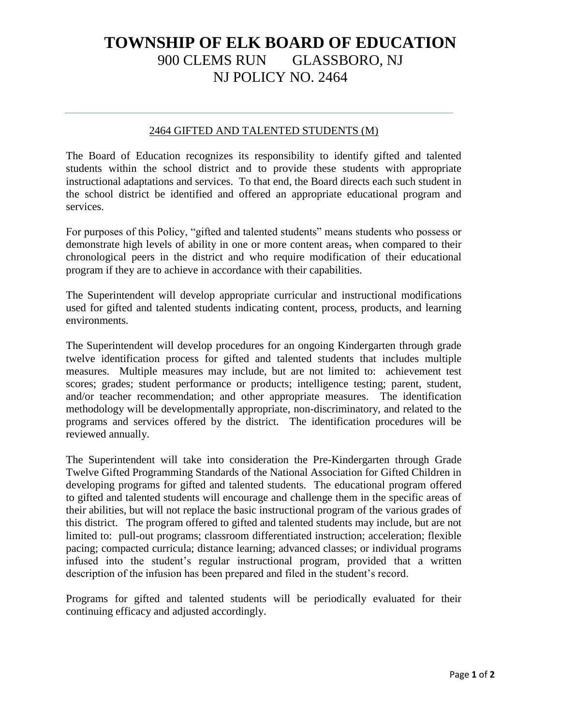## **TOWNSHIP OF ELK BOARD OF EDUCATION** 900 CLEMS RUN GLASSBORO, NJ NJ POLICY NO. 2464

## 2464 GIFTED AND TALENTED STUDENTS (M)

The Board of Education recognizes its responsibility to identify gifted and talented students within the school district and to provide these students with appropriate instructional adaptations and services. To that end, the Board directs each such student in the school district be identified and offered an appropriate educational program and services.

For purposes of this Policy, "gifted and talented students" means students who possess or demonstrate high levels of ability in one or more content areas, when compared to their chronological peers in the district and who require modification of their educational program if they are to achieve in accordance with their capabilities.

The Superintendent will develop appropriate curricular and instructional modifications used for gifted and talented students indicating content, process, products, and learning environments.

The Superintendent will develop procedures for an ongoing Kindergarten through grade twelve identification process for gifted and talented students that includes multiple measures. Multiple measures may include, but are not limited to: achievement test scores; grades; student performance or products; intelligence testing; parent, student, and/or teacher recommendation; and other appropriate measures. The identification methodology will be developmentally appropriate, non-discriminatory, and related to the programs and services offered by the district. The identification procedures will be reviewed annually.

The Superintendent will take into consideration the Pre-Kindergarten through Grade Twelve Gifted Programming Standards of the National Association for Gifted Children in developing programs for gifted and talented students. The educational program offered to gifted and talented students will encourage and challenge them in the specific areas of their abilities, but will not replace the basic instructional program of the various grades of this district. The program offered to gifted and talented students may include, but are not limited to: pull-out programs; classroom differentiated instruction; acceleration; flexible pacing; compacted curricula; distance learning; advanced classes; or individual programs infused into the student's regular instructional program, provided that a written description of the infusion has been prepared and filed in the student's record.

Programs for gifted and talented students will be periodically evaluated for their continuing efficacy and adjusted accordingly.